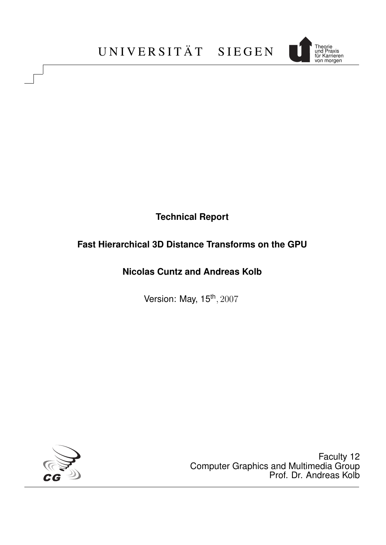

# **Technical Report**

# **Fast Hierarchical 3D Distance Transforms on the GPU**

# **Nicolas Cuntz and Andreas Kolb**

Version: May, 15<sup>th</sup>, 2007



Faculty 12 Computer Graphics and Multimedia Group Prof. Dr. Andreas Kolb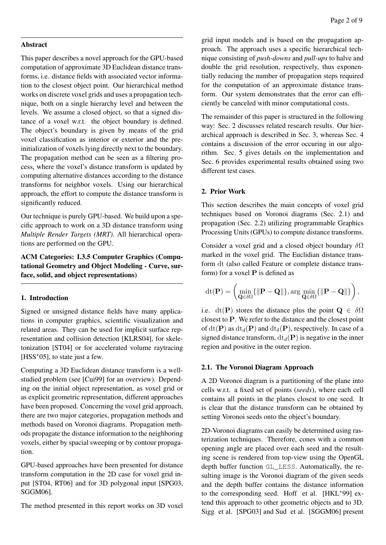### Abstract

This paper describes a novel approach for the GPU-based computation of approximate 3D Euclidean distance transforms, i.e. distance fields with associated vector information to the closest object point. Our hierarchical method works on discrete voxel grids and uses a propagation technique, both on a single hierarchy level and between the levels. We assume a closed object, so that a signed distance of a voxel w.r.t. the object boundary is defined. The object's boundary is given by means of the grid voxel classification as interior or exterior and the preinitialization of voxels lying directly next to the boundary. The propagation method can be seen as a filtering process, where the voxel's distance transform is updated by computing alternative distances according to the distance transforms for neighbor voxels. Using our hierarchical approach, the effort to compute the distance transform is significantly reduced.

Our technique is purely GPU-based. We build upon a specific approach to work on a 3D distance transform using *Multiple Render Targets (MRT)*. All hierarchical operations are performed on the GPU.

ACM Categories: I.3.5 Computer Graphics (Computational Geometry and Object Modeling - Curve, surface, solid, and object representations)

## 1. Introduction

Signed or unsigned distance fields have many applications in computer graphics, scientific visualization and related areas. They can be used for implicit surface representation and collision detection [KLRS04], for skeletonization [ST04] or for accelerated volume raytracing [HSS<sup>\*</sup>05], to state just a few.

Computing a 3D Euclidean distance transform is a wellstudied problem (see [Cui99] for an overview). Depending on the initial object representation, as voxel grid or as explicit geometric representation, different approaches have been proposed. Concerning the voxel grid approach, there are two major categories, propagation methods and methods based on Voronoi diagrams. Propagation methods propagate the distance information to the neighboring voxels, either by spacial sweeping or by contour propagation.

GPU-based approaches have been presented for distance transform computation in the 2D case for voxel grid input [ST04, RT06] and for 3D polygonal input [SPG03, SGGM06].

The method presented in this report works on 3D voxel

grid input models and is based on the propagation approach. The approach uses a specific hierarchical technique consisting of *push-downs* and *pull-ups* to halve and double the grid resolution, respectively, thus exponentially reducing the number of propagation steps required for the computation of an approximate distance transform. Our system demonstrates that the error can efficiently be canceled with minor computational costs.

The remainder of this paper is structured in the following way: Sec. 2 discusses related research results. Our hierarchical approach is described in Sec. 3, whereas Sec. 4 contains a discussion of the error occuring in our algorithm. Sec. 5 gives details on the implementation and Sec. 6 provides experimental results obtained using two different test cases.

## 2. Prior Work

This section describes the main concepts of voxel grid techniques based on Voronoi diagrams (Sec. 2.1) and propagation (Sec. 2.2) utilizing programmable Graphics Processing Units (GPUs) to compute distance transforms.

Consider a voxel grid and a closed object boundary  $\delta\Omega$ marked in the voxel grid. The Euclidian distance transform dt (also called Feature or complete distance transform) for a voxel  $P$  is defined as

$$
\mathrm{dt}(\mathbf{P}) = \left(\min_{\mathbf{Q} \in \delta \Omega} \{ \|\mathbf{P} - \mathbf{Q}\| \}, \arg\min_{\mathbf{Q} \in \delta \Omega} \{ \|\mathbf{P} - \mathbf{Q}\| \} \right),
$$

i.e. dt(P) stores the distance plus the point  $\mathbf{Q} \in \delta\Omega$ closest to P. We refer to the distance and the closest point of  $dt(\mathbf{P})$  as  $dt_d(\mathbf{P})$  and  $dt_\delta(\mathbf{P})$ , respectively. In case of a signed distance transform,  $dt_d(P)$  is negative in the inner region and positive in the outer region.

## 2.1. The Voronoi Diagram Approach

A 2D Voronoi diagram is a partitioning of the plane into cells w.r.t. a fixed set of points (*seeds*), where each cell contains all points in the planes closest to one seed. It is clear that the distance transform can be obtained by setting Voronoi seeds onto the object's boundary.

2D-Voronoi diagrams can easily be determined using rasterization techniques. Therefore, cones with a common opening angle are placed over each seed and the resulting scene is rendered from top-view using the OpenGL depth buffer function GL\_LESS. Automatically, the resulting image is the Voronoi diagram of the given seeds and the depth buffer contains the distance information to the corresponding seed. Hoff et al. [HKL∗99] extend this approach to other geometric objects and to 3D. Sigg et al. [SPG03] and Sud et al. [SGGM06] present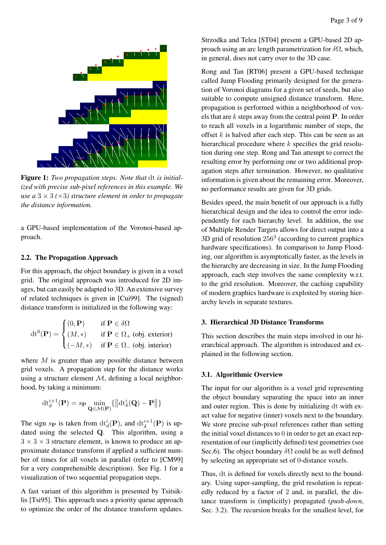

Figure 1: *Two propagation steps. Note that* dt *is initialized with precise sub-pixel references in this example. We use a*  $3 \times 3 \times 3$  *structure element in order to propagate the distance information.*

a GPU-based implementation of the Voronoi-based approach.

## 2.2. The Propagation Approach

For this approach, the object boundary is given in a voxel grid. The original approach was introduced for 2D images, but can easily be adapted to 3D. An extensive survey of related techniques is given in [Cui99]. The (signed) distance transform is initialized in the following way:

$$
\mathrm{dt}^{0}(\mathbf{P}) = \begin{cases} (0, \mathbf{P}) & \text{if } \mathbf{P} \in \delta\Omega \\ (M, *) & \text{if } \mathbf{P} \in \Omega_{+} \text{ (obj. exterior)} \\ (-M, *) & \text{if } \mathbf{P} \in \Omega_{-} \text{ (obj. interior)} \end{cases}
$$

where  $M$  is greater than any possible distance between grid voxels. A propagation step for the distance works using a structure element  $M$ , defining a local neighborhood, by taking a minimum:

$$
\mathrm{d} t_d^{i+1}(\mathbf{P}) = s_{\mathbf{P}} \min_{\mathbf{Q} \in \mathcal{M}(\mathbf{P})} \{ ||\mathrm{d} t_\delta^i(\mathbf{Q}) - \mathbf{P}|| \}
$$

The sign  $s_{\mathbf{P}}$  is taken from  $\mathrm{dt}^{i}_{d}(\mathbf{P})$ , and  $\mathrm{dt}^{i+1}_{\delta}(\mathbf{P})$  is updated using the selected Q. This algorithm, using a  $3 \times 3 \times 3$  structure element, is known to produce an approximate distance transform if applied a sufficient number of times for all voxels in parallel (refer to [CM99] for a very comprehensible description). See Fig. 1 for a visualization of two sequential propagation steps.

A fast variant of this algorithm is presented by Tsitsiklis [Tsi95]. This approach uses a priority queue approach to optimize the order of the distance transform updates.

Strzodka and Telea [ST04] present a GPU-based 2D approach using an arc length parametrization for  $\delta\Omega$ , which, in general, does not carry over to the 3D case.

Rong and Tan [RT06] present a GPU-based technique called Jump Flooding primarily designed for the generation of Voronoi diagrams for a given set of seeds, but also suitable to compute unsigned distance transform. Here, propagation is performed within a neighborhood of voxels that are  $k$  steps away from the central point  $P$ . In order to reach all voxels in a logarithmic number of steps, the offset  $k$  is halved after each step. This can be seen as an hierarchical procedure where k specifies the grid resolution during one step. Rong and Tan attempt to correct the resulting error by performing one or two additional propagation steps after termination. However, no qualitative information is given about the remaining error. Moreover, no performance results are given for 3D grids.

Besides speed, the main benefit of our approach is a fully hierarchical design and the idea to control the error independently for each hierarchy level. In addition, the use of Multiple Render Targets allows for direct output into a  $3D$  grid of resolution  $256<sup>3</sup>$  (according to current graphics hardware specifications). In comparison to Jump Flooding, our algorithm is asymptotically faster, as the levels in the hierarchy are decreasing in size. In the Jump Flooding approach, each step involves the same complexity w.r.t. to the grid resolution. Moreover, the caching capability of modern graphics hardware is exploited by storing hierarchy levels in separate textures.

# 3. Hierarchical 3D Distance Transforms

This section describes the main steps involved in our hierarchical approach. The algorithm is introduced and explained in the following section.

# 3.1. Algorithmic Overview

The input for our algorithm is a voxel grid representing the object boundary separating the space into an inner and outer region. This is done by initializing dt with exact value for negative (inner) voxels next to the boundary. We store precise sub-pixel references rather than setting the initial voxel distances to 0 in order to get an exact representation of our (implicitly defined) test geometries (see Sec.6). The object boundary  $\delta\Omega$  could be as well defined by selecting an appropriate set of 0-distance voxels.

Thus, dt is defined for voxels directly next to the boundary. Using super-sampling, the grid resolution is repeatedly reduced by a factor of 2 and, in parallel, the distance transform is (implicitly) propagated (*push-down*, Sec. 3.2). The recursion breaks for the smallest level, for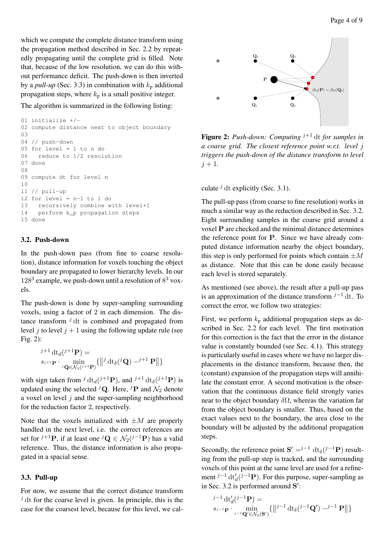which we compute the complete distance transform using the propagation method described in Sec. 2.2 by repeatedly propagating until the complete grid is filled. Note that, because of the low resolution, we can do this without performance deficit. The push-down is then inverted by a *pull-up* (Sec. 3.3) in combination with  $k_p$  additional propagation steps, where  $k_p$  is a small positive integer.

The algorithm is summarized in the following listing:

```
01 initialize +/02 compute distance next to object boundary
03
04 // push-down
05 for level = 1 to n do
06 reduce to 1/2 resolution
07 done
08
09 compute dt for level n
1<sub>0</sub>11 // pull-up
12 for level = n-1 to 1 do
13 recursively combine with level+1
14 perform k_p propagation steps
15 done
```
## 3.2. Push-down

In the push-down pass (from fine to coarse resolution), distance information for voxels touching the object boundary are propagated to lower hierarchy levels. In our  $128<sup>3</sup>$  example, we push-down until a resolution of  $8<sup>3</sup>$  voxels.

The push-down is done by super-sampling surrounding voxels, using a factor of 2 in each dimension. The distance transform  $\hat{j}$  dt is combined and propagated from level j to level  $j + 1$  using the following update rule (see Fig. 2):

$$
j+1 d\mathbf{t}_d(j+1)\mathbf{P}
$$
  

$$
s_{j+1}\mathbf{P} \cdot \min_{j\mathbf{Q}\in\mathcal{N}_2(j+1)\mathbf{P}} \{||^j d\mathbf{t}_\delta(j\mathbf{Q}) - j+1\mathbf{P}||\}
$$

with sign taken from  $^{j}$  dt<sub>d</sub>( $^{j+1}$ **P**), and  $^{j+1}$  dt<sub>δ</sub>( $^{j+1}$ **P**) is updated using the selected <sup>j</sup>Q. Here, <sup>j</sup>P and  $\mathcal{N}_2$  denote a voxel on level  $j$  and the super-sampling neighborhood for the reduction factor 2, respectively.

Note that the voxels initialized with  $\pm M$  are properly handled in the next level, i.e. the correct references are set for  $j+1$ **P**, if at least one  ${}^{j}$ **Q**  $\in$   $\mathcal{N}_2$  $({}^{j-1}$ **P**) has a valid reference. Thus, the distance information is also propagated in a spacial sense.

## 3.3. Pull-up

For now, we assume that the correct distance transform  $\dot{J}$  dt for the coarse level is given. In principle, this is the case for the coarsest level, because for this level, we cal-



**Figure 2:** *Push-down: Computing*  $j+1$  dt *for samples in a coarse grid. The closest reference point w.r.t. level* j *triggers the push-down of the distance transform to level*  $j + 1$ .

culate  $\hat{\jmath}$  dt explicitly (Sec. 3.1).

The pull-up pass (from coarse to fine resolution) works in much a similar way as the reduction described in Sec. 3.2. Eight surrounding samples in the coarse grid around a voxel P are checked and the minimal distance determines the reference point for P. Since we have already computed distance information nearby the object boundary, this step is only performed for points which contain  $\pm M$ as distance. Note that this can be done easily because each level is stored separately.

As mentioned (see above), the result after a pull-up pass is an approximation of the distance transform  $j-1$  dt. To correct the error, we follow two strategies:

First, we perform  $k_p$  additional propagation steps as described in Sec. 2.2 for each level. The first motivation for this correction is the fact that the error in the distance value is constantly bounded (see Sec. 4.1). This strategy is particularly useful in cases where we have no larger displacements in the distance transform, because then, the (constant) expansion of the propagation steps will annihilate the constant error. A second motivation is the observation that the continuous distance field strongly varies near to the object boundary  $\delta\Omega$ , whereas the variation far from the object boundary is smaller. Thus, based on the exact values next to the boundary, the area close to the boundary will be adjusted by the additional propagation steps.

Secondly, the reference point  $S' = j^{-1} dt_{\delta}(j^{-1}P)$  resulting from the pull-up step is tracked, and the surrounding voxels of this point at the same level are used for a refinement  $j^{-1}$  dt'<sub>d</sub>( $j^{-1}$ **P**). For this purpose, super-sampling as in Sec. 3.2 is performed around  $S'$ :

$$
j^{-1} \operatorname{dt}'_d(j^{-1}\mathbf{P}) =
$$
  

$$
s_{j-1}\mathbf{P} \cdot \min_{j-1}\operatorname{Q}'\in \mathcal{N}_2(\mathbf{S}^j)} \{ ||j^{-1} \operatorname{dt}_\delta(j^{-1}\mathbf{Q}') - j^{-1}\mathbf{P} || \}
$$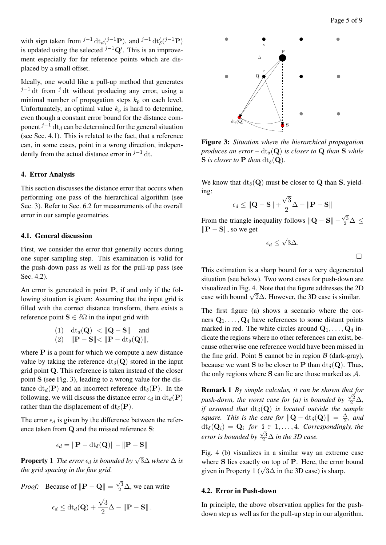$\Box$ 

with sign taken from  $^{j-1} dt_d(^{j-1}P)$ , and  $^{j-1} dt'_\delta(^{j-1}P)$ is updated using the selected  $j^{-1}Q'$ . This is an improvement especially for far reference points which are displaced by a small offset.

Ideally, one would like a pull-up method that generates  $j-1$  dt from  $j$  dt without producing any error, using a minimal number of propagation steps  $k_p$  on each level. Unfortunately, an optimal value  $k_p$  is hard to determine, even though a constant error bound for the distance component  $j^{-1}$  dt<sub>d</sub> can be determined for the general situation (see Sec. 4.1). This is related to the fact, that a reference can, in some cases, point in a wrong direction, independently from the actual distance error in  $j-1$  dt.

# 4. Error Analysis

This section discusses the distance error that occurs when performing one pass of the hierarchical algorithm (see Sec. 3). Refer to Sec. 6.2 for measurements of the overall error in our sample geometries.

#### 4.1. General discussion

First, we consider the error that generally occurs during one super-sampling step. This examination is valid for the push-down pass as well as for the pull-up pass (see Sec. 4.2).

An error is generated in point P, if and only if the following situation is given: Assuming that the input grid is filled with the correct distance transform, there exists a reference point  $S \in \delta\Omega$  in the input grid with

$$
\begin{array}{ll} \text{(1)} & \mathrm{d}t_d(\mathbf{Q}) < \|\mathbf{Q} - \mathbf{S}\| \quad \text{and} \\ \text{(2)} & \|\mathbf{P} - \mathbf{S}\| < \|\mathbf{P} - \mathrm{d}t_\delta(\mathbf{Q})\|, \end{array}
$$

where  $P$  is a point for which we compute a new distance value by taking the reference  $dt_{\delta}(\mathbf{Q})$  stored in the input grid point Q. This reference is taken instead of the closer point S (see Fig. 3), leading to a wrong value for the distance  $dt_d(\mathbf{P})$  and an incorrect reference  $dt_\delta(\mathbf{P})$ . In the following, we will discuss the distance error  $\epsilon_d$  in  $dt_d(\mathbf{P})$ rather than the displacement of  $dt_{\delta}(\mathbf{P})$ .

The error  $\epsilon_d$  is given by the difference between the reference taken from Q and the missed reference S:

$$
\epsilon_d = \|\mathbf{P} - \mathrm{dt}_{\delta}(\mathbf{Q})\| - \|\mathbf{P} - \mathbf{S}\|
$$

**Property 1** The error  $\epsilon_d$  is bounded by  $\sqrt{3}\Delta$  where  $\Delta$  is *the grid spacing in the fine grid.*

*Proof:* Because of 
$$
\|\mathbf{P} - \mathbf{Q}\| = \frac{\sqrt{3}}{2}\Delta
$$
, we can write  

$$
\epsilon_d \le dt_d(\mathbf{Q}) + \frac{\sqrt{3}}{2}\Delta - \|\mathbf{P} - \mathbf{S}\|.
$$



Figure 3: *Situation where the hierarchical propagation produces an error* –  $dt_{\delta}(\mathbf{Q})$  *is closer to* **Q** *than* **S** *while* S *is closer to* **P** *than*  $dt_{\delta}(\mathbf{Q})$ *.* 

We know that  $dt_{\delta}(\mathbf{Q})$  must be closer to **Q** than **S**, yielding: √

$$
\epsilon_d \leq ||\mathbf{Q} - \mathbf{S}|| + \frac{\sqrt{3}}{2}\Delta - ||\mathbf{P} - \mathbf{S}||
$$

From the triangle inequality follows  $\|\mathbf{Q} - \mathbf{S}\|$  −  $\frac{\sqrt{3}}{2}$ ∆  $\leq$  $\|\mathbf{P} - \mathbf{S}\|$ , so we get

$$
\epsilon_d \leq \sqrt{3}\Delta.
$$

This estimation is a sharp bound for a very degenerated situation (see below). Two worst cases for push-down are visualized in Fig. 4. Note that the figure addresses the 2D visualized in Fig. 4. Note that the figure addresses the 21 case with bound  $\sqrt{2}\Delta$ . However, the 3D case is similar.

The first figure (a) shows a scenario where the corners  $Q_1, \ldots, Q_4$  have references to some distant points marked in red. The white circles around  $Q_1, \ldots, Q_4$  indicate the regions where no other references can exist, because otherwise one reference would have been missed in the fine grid. Point S cannot be in region  $\beta$  (dark-gray), because we want S to be closer to P than  $dt_{\delta}(\mathbf{Q})$ . Thus, the only regions where S can lie are those marked as A.

Remark 1 *By simple calculus, it can be shown that for* √ push-down, the worst case for (a) is bounded by  $\frac{\sqrt{2}}{2}\Delta$ , *if assumed that*  $dt_{\delta}(\mathbf{Q})$  *is located outside the sample square. This is the case for*  $\|\mathbf{Q} - \mathrm{dt}_{\delta}(\mathbf{Q})\| = \frac{\Delta}{2}$  $\frac{\Delta}{2}$ *, and*  $dt_{\delta}(\mathbf{Q}_i) = \mathbf{Q}_i$  for  $\mathbf{i} \in 1, \ldots, 4$ . Correspondingly, the *error is bounded by*  $\frac{\sqrt{3}}{2}\Delta$  *in the 3D case.* 

Fig. 4 (b) visualizes in a similar way an extreme case where S lies exactly on top of P. Here, the error bound where S nes exactly on top of P. Here, the error given in Property 1 ( $\sqrt{3}\Delta$  in the 3D case) is sharp.

### 4.2. Error in Push-down

In principle, the above observation applies for the pushdown step as well as for the pull-up step in our algorithm.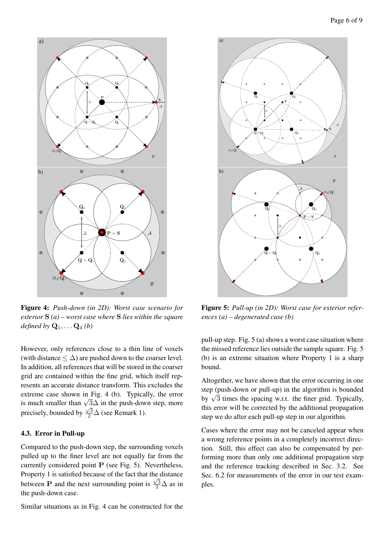

Figure 4: *Push-down (in 2D): Worst case scenario for exterior* S *(a) – worst case where* S *lies within the square defined by*  $\mathbf{Q}_1, \ldots, \mathbf{Q}_4$  (*b*)

However, only references close to a thin line of voxels (with distance  $\leq \Delta$ ) are pushed down to the coarser level. In addition, all references that will be stored in the coarser grid are contained within the fine grid, which itself represents an accurate distance transform. This excludes the extreme case shown in Fig. 4 (b). Typically, the error Extreme case shown in Fig. 4 (b). Typically, the error<br>is much smaller than  $\sqrt{3}\Delta$  in the push-down step, more precisely, bounded by  $\frac{\sqrt{3}}{2}\Delta$  (see Remark 1).

## 4.3. Error in Pull-up

Compared to the push-down step, the surrounding voxels pulled up to the finer level are not equally far from the currently considered point P (see Fig. 5). Nevertheless, Property 1 is satisfied because of the fact that the distance between **P** and the next surrounding point is  $\frac{\sqrt{3}}{2}\Delta$  as in the push-down case.

Similar situations as in Fig. 4 can be constructed for the



Figure 5: *Pull-up (in 2D): Worst case for exterior references (a) – degenerated case (b)*

pull-up step. Fig. 5 (a) shows a worst case situation where the missed reference lies outside the sample square. Fig. 5 (b) is an extreme situation where Property 1 is a sharp bound.

Altogether, we have shown that the error occurring in one step (push-down or pull-up) in the algorithm is bounded step (push-down of pun-up) in the algorithm is bounded<br>by  $\sqrt{3}$  times the spacing w.r.t. the finer grid. Typically, this error will be corrected by the additional propagation step we do after each pull-up step in our algorithm.

Cases where the error may not be canceled appear when a wrong reference points in a completely incorrect direction. Still, this effect can also be compensated by performing more than only one additional propagation step and the reference tracking described in Sec. 3.2. See Sec. 6.2 for measurements of the error in our test examples.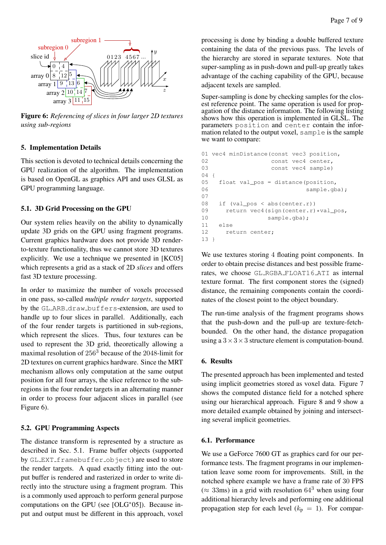

Figure 6: *Referencing of slices in four larger 2D textures using sub-regions*

## 5. Implementation Details

This section is devoted to technical details concerning the GPU realization of the algorithm. The implementation is based on OpenGL as graphics API and uses GLSL as GPU programming language.

## 5.1. 3D Grid Processing on the GPU

Our system relies heavily on the ability to dynamically update 3D grids on the GPU using fragment programs. Current graphics hardware does not provide 3D renderto-texture functionality, thus we cannot store 3D textures explicitly. We use a technique we presented in [KC05] which represents a grid as a stack of 2D *slices* and offers fast 3D texture processing.

In order to maximize the number of voxels processed in one pass, so-called *multiple render targets*, supported by the GL ARB draw buffers-extension, are used to handle up to four slices in parallel. Additionally, each of the four render targets is partitioned in sub-regions, which represent the slices. Thus, four textures can be used to represent the 3D grid, theoretically allowing a maximal resolution of 256<sup>3</sup> because of the 2048-limit for 2D textures on current graphics hardware. Since the MRT mechanism allows only computation at the same output position for all four arrays, the slice reference to the subregions in the four render targets in an alternating manner in order to process four adjacent slices in parallel (see Figure 6).

## 5.2. GPU Programming Aspects

The distance transform is represented by a structure as described in Sec. 5.1. Frame buffer objects (supported by GL\_EXT\_framebuffer\_object) are used to store the render targets. A quad exactly fitting into the output buffer is rendered and rasterized in order to write directly into the structure using a fragment program. This is a commonly used approach to perform general purpose computations on the GPU (see [OLG∗05]). Because input and output must be different in this approach, voxel

processing is done by binding a double buffered texture containing the data of the previous pass. The levels of the hierarchy are stored in separate textures. Note that super-sampling as in push-down and pull-up greatly takes advantage of the caching capability of the GPU, because adjacent texels are sampled.

Super-sampling is done by checking samples for the closest reference point. The same operation is used for propagation of the distance information. The following listing shows how this operation is implemented in GLSL. The parameters position and center contain the information related to the output voxel, sample is the sample we want to compare:

```
01 vec4 minDistance(const vec3 position,
02 const vec4 center,
03 const vec4 sample)
04 {
05 float val_pos = distance(position,
06 sample.gba);
07
08 if (val pos \langle abs(center.r))
09 return vec4(sign(center.r) *val pos,
10 sample.gba);
11 else
12 return center;
13 <sup>1</sup>
```
We use textures storing 4 floating point components. In order to obtain precise distances and best possible framerates, we choose GL RGBA FLOAT16 ATI as internal texture format. The first component stores the (signed) distance, the remaining components contain the coordinates of the closest point to the object boundary.

The run-time analysis of the fragment programs shows that the push-down and the pull-up are texture-fetchbounded. On the other hand, the distance propagation using a  $3 \times 3 \times 3$  structure element is computation-bound.

# 6. Results

The presented approach has been implemented and tested using implicit geometries stored as voxel data. Figure 7 shows the computed distance field for a notched sphere using our hierarchical approach. Figure 8 and 9 show a more detailed example obtained by joining and intersecting several implicit geometries.

## 6.1. Performance

We use a GeForce 7600 GT as graphics card for our performance tests. The fragment programs in our implementation leave some room for improvements. Still, in the notched sphere example we have a frame rate of 30 FPS  $(\approx 33 \text{ms})$  in a grid with resolution  $64^3$  when using four additional hierarchy levels and performing one additional propagation step for each level  $(k_p = 1)$ . For compar-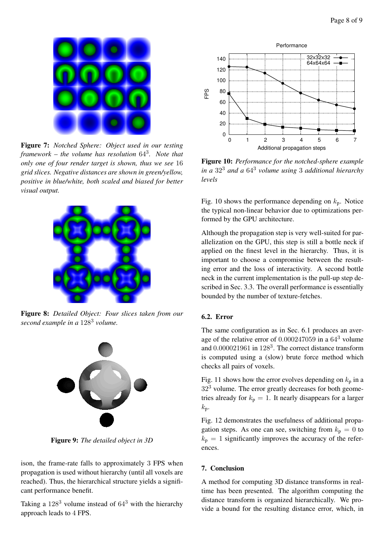

Figure 7: *Notched Sphere: Object used in our testing framework – the volume has resolution* 64<sup>3</sup> *. Note that only one of four render target is shown, thus we see* 16 *grid slices. Negative distances are shown in green/yellow, positive in blue/white, both scaled and biased for better visual output.*



Figure 8: *Detailed Object: Four slices taken from our second example in a* 128<sup>3</sup> *volume.*



Figure 9: *The detailed object in 3D*

ison, the frame-rate falls to approximately 3 FPS when propagation is used without hierarchy (until all voxels are reached). Thus, the hierarchical structure yields a significant performance benefit.

Taking a  $128<sup>3</sup>$  volume instead of  $64<sup>3</sup>$  with the hierarchy approach leads to 4 FPS.



Figure 10: *Performance for the notched-sphere example in a* 32<sup>3</sup> *and a* 64<sup>3</sup> *volume using* 3 *additional hierarchy levels*

Fig. 10 shows the performance depending on  $k_p$ . Notice the typical non-linear behavior due to optimizations performed by the GPU architecture.

Although the propagation step is very well-suited for parallelization on the GPU, this step is still a bottle neck if applied on the finest level in the hierarchy. Thus, it is important to choose a compromise between the resulting error and the loss of interactivity. A second bottle neck in the current implementation is the pull-up step described in Sec. 3.3. The overall performance is essentially bounded by the number of texture-fetches.

# 6.2. Error

The same configuration as in Sec. 6.1 produces an average of the relative error of 0.000247059 in a 64<sup>3</sup> volume and 0.000021961 in 128<sup>3</sup>. The correct distance transform is computed using a (slow) brute force method which checks all pairs of voxels.

Fig. 11 shows how the error evolves depending on  $k_p$  in a 32<sup>3</sup> volume. The error greatly decreases for both geometries already for  $k_p = 1$ . It nearly disappears for a larger  $k_{p}$ .

Fig. 12 demonstrates the usefulness of additional propagation steps. As one can see, switching from  $k_p = 0$  to  $k_p = 1$  significantly improves the accuracy of the references.

# 7. Conclusion

A method for computing 3D distance transforms in realtime has been presented. The algorithm computing the distance transform is organized hierarchically. We provide a bound for the resulting distance error, which, in